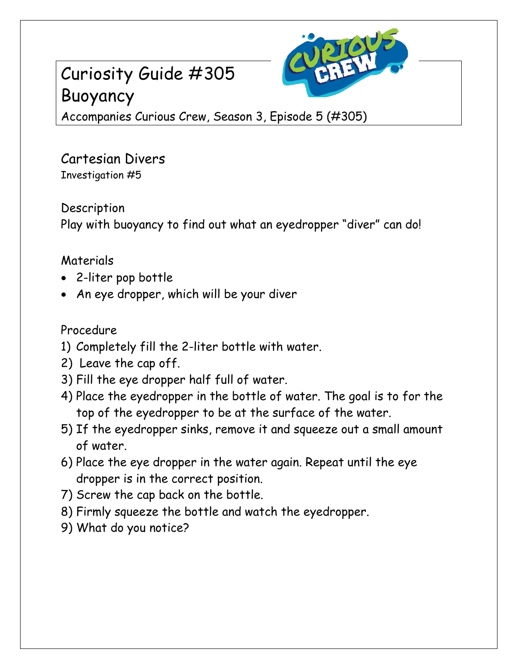# Curiosity Guide #305 Buoyancy



Accompanies Curious Crew, Season 3, Episode 5 (#305)

Cartesian Divers Investigation #5

**Description** Play with buoyancy to find out what an eyedropper "diver" can do!

## Materials

- 2-liter pop bottle
- An eye dropper, which will be your diver

## Procedure

- 1) Completely fill the 2-liter bottle with water.
- 2) Leave the cap off.
- 3) Fill the eye dropper half full of water.
- 4) Place the eyedropper in the bottle of water. The goal is to for the top of the eyedropper to be at the surface of the water.
- 5) If the eyedropper sinks, remove it and squeeze out a small amount of water.
- 6) Place the eye dropper in the water again. Repeat until the eye dropper is in the correct position.
- 7) Screw the cap back on the bottle.
- 8) Firmly squeeze the bottle and watch the eyedropper.
- 9) What do you notice?